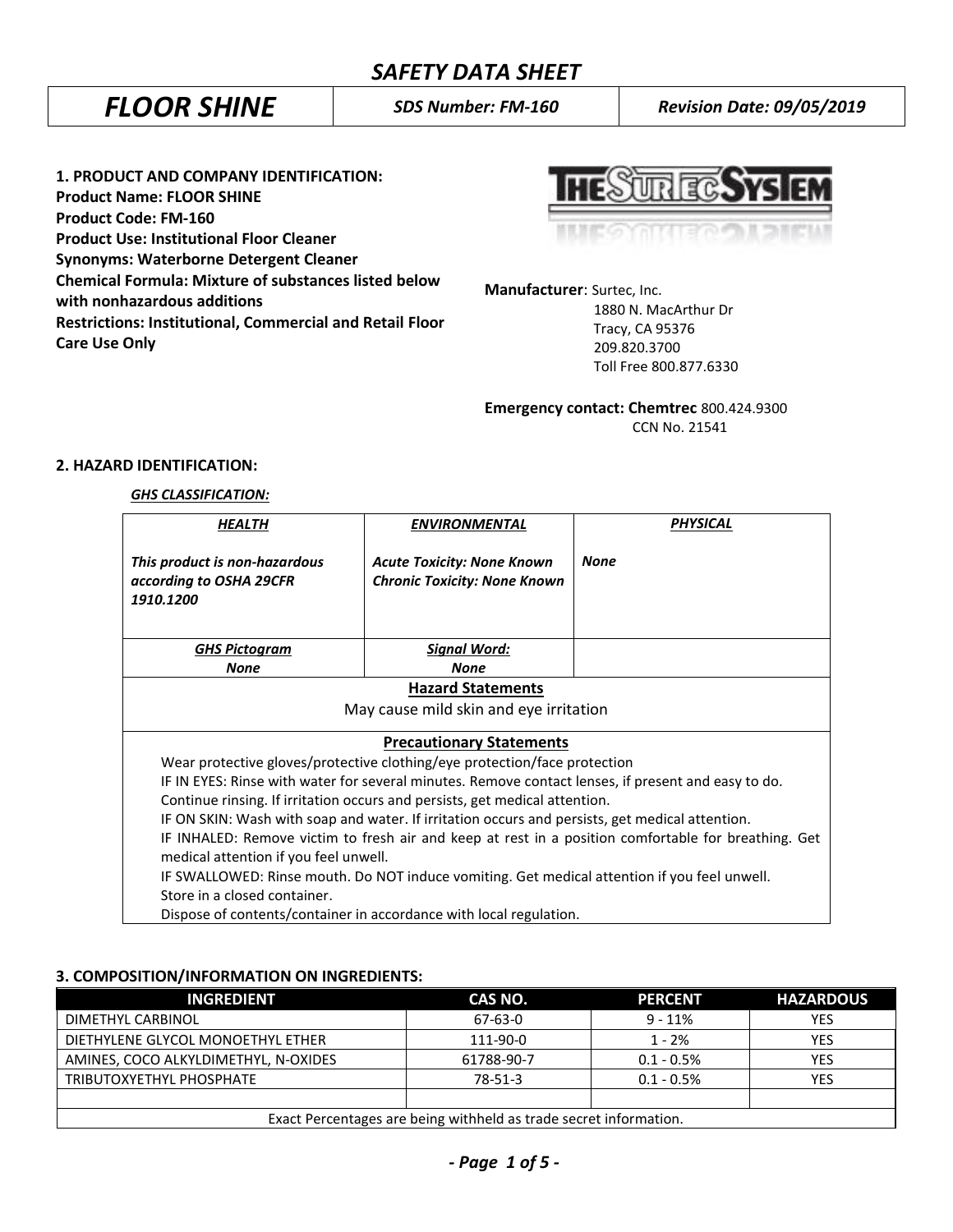*FLOOR SHINE SDS Number: FM-160 Revision Date: 09/05/2019*

**1. PRODUCT AND COMPANY IDENTIFICATION: Product Name: FLOOR SHINE Product Code: FM-160 Product Use: Institutional Floor Cleaner Synonyms: Waterborne Detergent Cleaner Chemical Formula: Mixture of substances listed below with nonhazardous additions Restrictions: Institutional, Commercial and Retail Floor Care Use Only**

**UREC.SYS** 

**Manufacturer**: Surtec, Inc.

 1880 N. MacArthur Dr Tracy, CA 95376 209.820.3700 Toll Free 800.877.6330

**Emergency contact: Chemtrec** 800.424.9300 CCN No. 21541

# **2. HAZARD IDENTIFICATION:**

### *GHS CLASSIFICATION:*

| HEALTH                                                                                               | ENVIRONMENTAL                                                               | <b>PHYSICAL</b> |
|------------------------------------------------------------------------------------------------------|-----------------------------------------------------------------------------|-----------------|
| This product is non-hazardous<br>according to OSHA 29CFR<br>1910.1200                                | <b>Acute Toxicity: None Known</b><br><b>Chronic Toxicity: None Known</b>    | <b>None</b>     |
| <b>GHS Pictogram</b>                                                                                 | <b>Signal Word:</b>                                                         |                 |
| <b>None</b>                                                                                          | None                                                                        |                 |
| <b>Hazard Statements</b>                                                                             |                                                                             |                 |
| May cause mild skin and eye irritation                                                               |                                                                             |                 |
| <b>Precautionary Statements</b>                                                                      |                                                                             |                 |
| Wear protective gloves/protective clothing/eye protection/face protection                            |                                                                             |                 |
| IF IN EYES: Rinse with water for several minutes. Remove contact lenses, if present and easy to do.  |                                                                             |                 |
|                                                                                                      | Continue rinsing. If irritation occurs and persists, get medical attention. |                 |
| IF ON SKIN: Wash with soap and water. If irritation occurs and persists, get medical attention.      |                                                                             |                 |
| IF INHALED: Remove victim to fresh air and keep at rest in a position comfortable for breathing. Get |                                                                             |                 |
| medical attention if you feel unwell.                                                                |                                                                             |                 |
| IF SWALLOWED: Rinse mouth. Do NOT induce vomiting. Get medical attention if you feel unwell.         |                                                                             |                 |
| Store in a closed container.                                                                         |                                                                             |                 |
| Dispose of contents/container in accordance with local regulation.                                   |                                                                             |                 |

## **3. COMPOSITION/INFORMATION ON INGREDIENTS:**

| <b>INGREDIENT</b>                                                 | CAS NO.    | <b>PERCENT</b> | <b>HAZARDOUS</b> |
|-------------------------------------------------------------------|------------|----------------|------------------|
| DIMETHYL CARBINOL                                                 | 67-63-0    | $9 - 11%$      | YES              |
| DIETHYLENE GLYCOL MONOETHYL ETHER                                 | 111-90-0   | $1 - 2%$       | YES              |
| AMINES, COCO ALKYLDIMETHYL, N-OXIDES                              | 61788-90-7 | $0.1 - 0.5%$   | <b>YES</b>       |
| TRIBUTOXYETHYL PHOSPHATE                                          | 78-51-3    | $0.1 - 0.5%$   | YES              |
|                                                                   |            |                |                  |
| Exact Percentages are being withheld as trade secret information. |            |                |                  |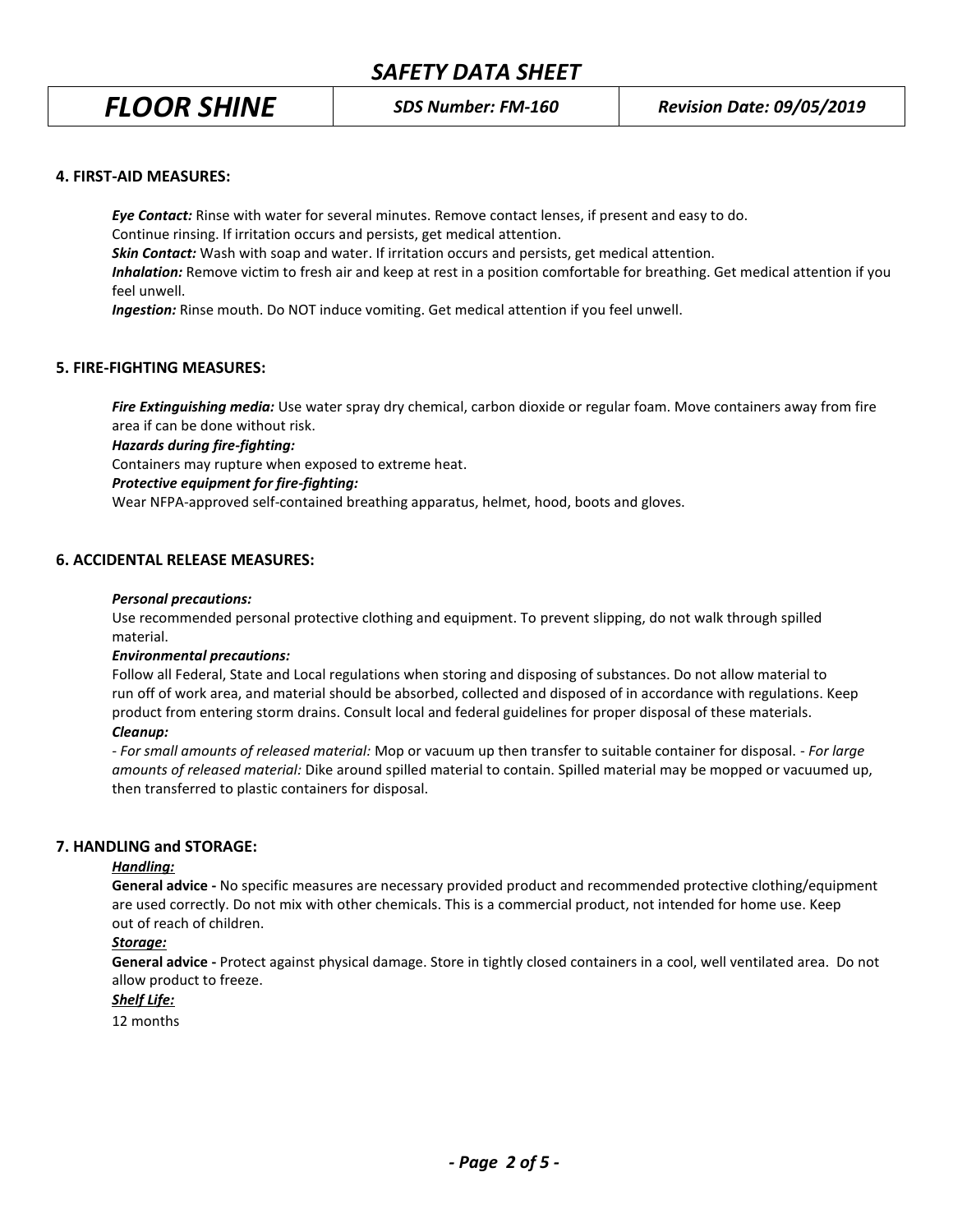# *SAFETY DATA SHEET*

#### **4. FIRST-AID MEASURES:**

*Eye Contact:* Rinse with water for several minutes. Remove contact lenses, if present and easy to do. Continue rinsing. If irritation occurs and persists, get medical attention. *Skin Contact:* Wash with soap and water. If irritation occurs and persists, get medical attention. *Inhalation:* Remove victim to fresh air and keep at rest in a position comfortable for breathing. Get medical attention if you feel unwell.

*Ingestion:* Rinse mouth. Do NOT induce vomiting. Get medical attention if you feel unwell.

# **5. FIRE-FIGHTING MEASURES:**

*Fire Extinguishing media:* Use water spray dry chemical, carbon dioxide or regular foam. Move containers away from fire area if can be done without risk.

*Hazards during fire-fighting:*

Containers may rupture when exposed to extreme heat.

#### *Protective equipment for fire-fighting:*

Wear NFPA-approved self-contained breathing apparatus, helmet, hood, boots and gloves.

#### **6. ACCIDENTAL RELEASE MEASURES:**

#### *Personal precautions:*

Use recommended personal protective clothing and equipment. To prevent slipping, do not walk through spilled material.

#### *Environmental precautions:*

Follow all Federal, State and Local regulations when storing and disposing of substances. Do not allow material to run off of work area, and material should be absorbed, collected and disposed of in accordance with regulations. Keep product from entering storm drains. Consult local and federal guidelines for proper disposal of these materials.

#### *Cleanup:*

*- For small amounts of released material:* Mop or vacuum up then transfer to suitable container for disposal. - *For large amounts of released material:* Dike around spilled material to contain. Spilled material may be mopped or vacuumed up, then transferred to plastic containers for disposal.

#### **7. HANDLING and STORAGE:**

#### *Handling:*

**General advice -** No specific measures are necessary provided product and recommended protective clothing/equipment are used correctly. Do not mix with other chemicals. This is a commercial product, not intended for home use. Keep out of reach of children.

#### *Storage:*

**General advice -** Protect against physical damage. Store in tightly closed containers in a cool, well ventilated area. Do not allow product to freeze.

# *Shelf Life:*

12 months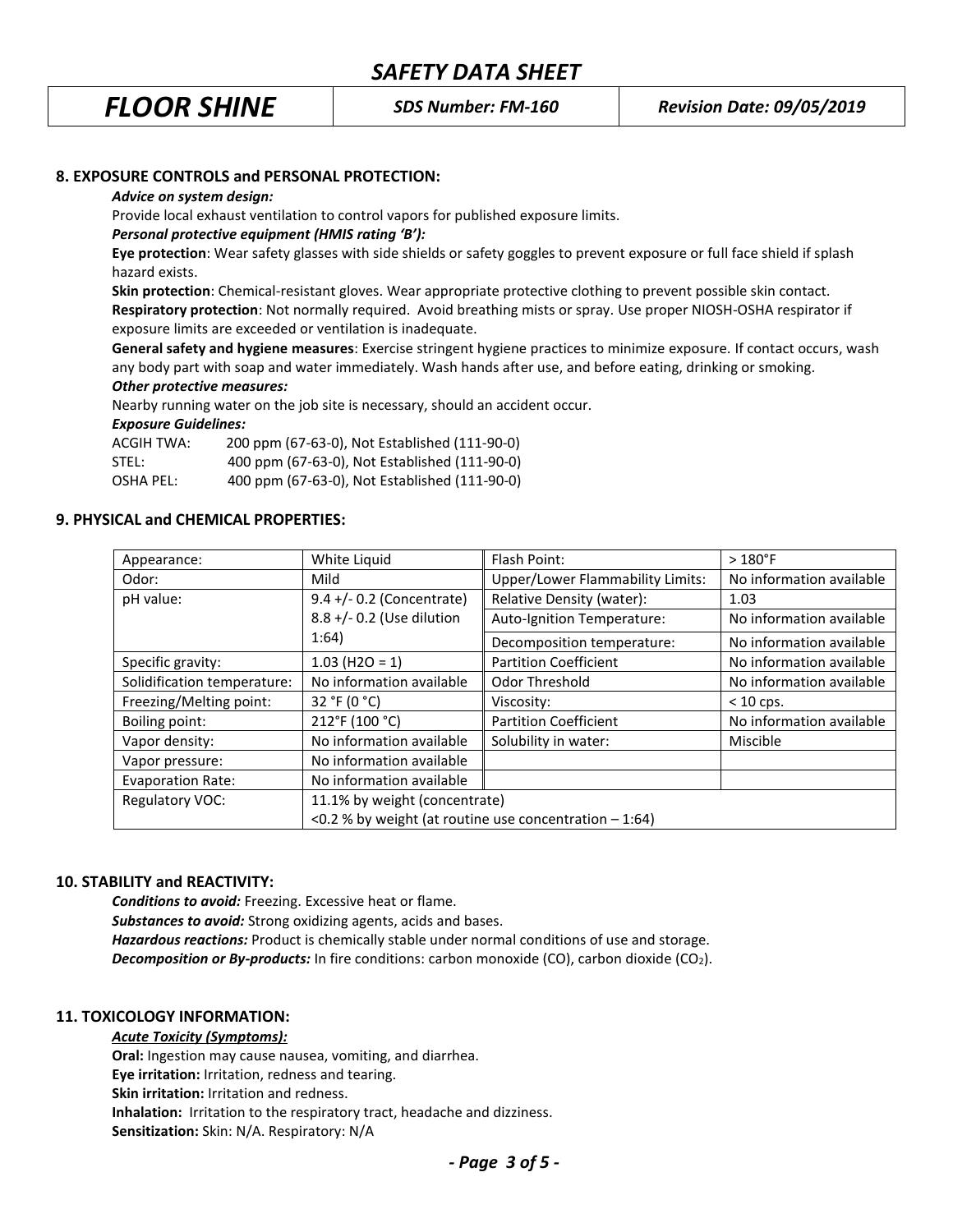## **8. EXPOSURE CONTROLS and PERSONAL PROTECTION:**

#### *Advice on system design:*

Provide local exhaust ventilation to control vapors for published exposure limits.

#### *Personal protective equipment (HMIS rating 'B'):*

**Eye protection**: Wear safety glasses with side shields or safety goggles to prevent exposure or full face shield if splash hazard exists.

**Skin protection**: Chemical-resistant gloves. Wear appropriate protective clothing to prevent possible skin contact. **Respiratory protection**: Not normally required. Avoid breathing mists or spray. Use proper NIOSH-OSHA respirator if exposure limits are exceeded or ventilation is inadequate.

**General safety and hygiene measures**: Exercise stringent hygiene practices to minimize exposure. If contact occurs, wash any body part with soap and water immediately. Wash hands after use, and before eating, drinking or smoking. *Other protective measures:*

Nearby running water on the job site is necessary, should an accident occur.

#### *Exposure Guidelines:*

| ACGIH TWA: | 200 ppm (67-63-0), Not Established (111-90-0) |
|------------|-----------------------------------------------|
| STEL:      | 400 ppm (67-63-0), Not Established (111-90-0) |
| OSHA PEL:  | 400 ppm (67-63-0), Not Established (111-90-0) |

#### **9. PHYSICAL and CHEMICAL PROPERTIES:**

| Appearance:                 | White Liquid                                             | Flash Point:                            | $>180^{\circ}$ F         |
|-----------------------------|----------------------------------------------------------|-----------------------------------------|--------------------------|
| Odor:                       | Mild                                                     | <b>Upper/Lower Flammability Limits:</b> | No information available |
| pH value:                   | 9.4 +/- 0.2 (Concentrate)                                | Relative Density (water):               | 1.03                     |
|                             | 8.8 +/- 0.2 (Use dilution                                | Auto-Ignition Temperature:              | No information available |
|                             | 1:64)                                                    | Decomposition temperature:              | No information available |
| Specific gravity:           | $1.03$ (H2O = 1)                                         | <b>Partition Coefficient</b>            | No information available |
| Solidification temperature: | No information available                                 | Odor Threshold                          | No information available |
| Freezing/Melting point:     | 32 °F (0 °C)                                             | Viscosity:                              | $< 10$ cps.              |
| Boiling point:              | 212°F (100 °C)                                           | <b>Partition Coefficient</b>            | No information available |
| Vapor density:              | No information available                                 | Solubility in water:                    | Miscible                 |
| Vapor pressure:             | No information available                                 |                                         |                          |
| <b>Evaporation Rate:</b>    | No information available                                 |                                         |                          |
| Regulatory VOC:             | 11.1% by weight (concentrate)                            |                                         |                          |
|                             | <0.2 % by weight (at routine use concentration $-1:64$ ) |                                         |                          |

### **10. STABILITY and REACTIVITY:**

*Conditions to avoid:* Freezing. Excessive heat or flame. *Substances to avoid:* Strong oxidizing agents, acids and bases. *Hazardous reactions:* Product is chemically stable under normal conditions of use and storage. **Decomposition or By-products:** In fire conditions: carbon monoxide (CO), carbon dioxide (CO<sub>2</sub>).

#### **11. TOXICOLOGY INFORMATION:**

### *Acute Toxicity (Symptoms):*

**Oral:** Ingestion may cause nausea, vomiting, and diarrhea. **Eye irritation:** Irritation, redness and tearing. **Skin irritation:** Irritation and redness. **Inhalation:** Irritation to the respiratory tract, headache and dizziness. **Sensitization:** Skin: N/A. Respiratory: N/A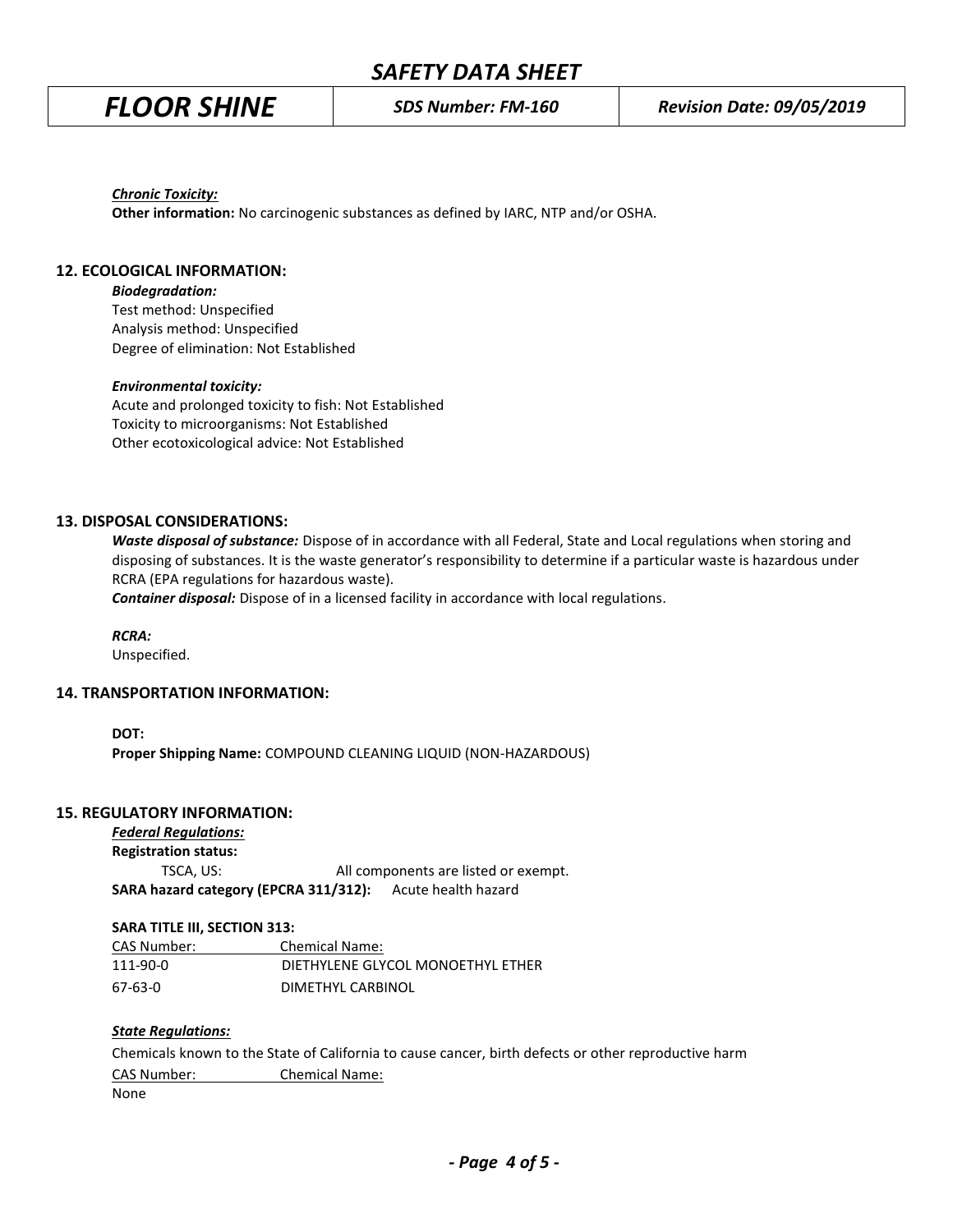# *SAFETY DATA SHEET*

*Chronic Toxicity:*

**Other information:** No carcinogenic substances as defined by IARC, NTP and/or OSHA.

### **12. ECOLOGICAL INFORMATION:**

*Biodegradation:*

Test method: Unspecified Analysis method: Unspecified Degree of elimination: Not Established

#### *Environmental toxicity:*

Acute and prolonged toxicity to fish: Not Established Toxicity to microorganisms: Not Established Other ecotoxicological advice: Not Established

#### **13. DISPOSAL CONSIDERATIONS:**

*Waste disposal of substance:* Dispose of in accordance with all Federal, State and Local regulations when storing and disposing of substances. It is the waste generator's responsibility to determine if a particular waste is hazardous under RCRA (EPA regulations for hazardous waste).

*Container disposal:* Dispose of in a licensed facility in accordance with local regulations.

*RCRA:*

Unspecified.

#### **14. TRANSPORTATION INFORMATION:**

**DOT:**

**Proper Shipping Name:** COMPOUND CLEANING LIQUID (NON-HAZARDOUS)

### **15. REGULATORY INFORMATION:**

*Federal Regulations:* **Registration status:** TSCA, US: All components are listed or exempt. **SARA hazard category (EPCRA 311/312):** Acute health hazard

#### **SARA TITLE III, SECTION 313:**

| CAS Number: | <b>Chemical Name:</b>             |
|-------------|-----------------------------------|
| 111-90-0    | DIETHYLENE GLYCOL MONOETHYL ETHER |
| 67-63-0     | DIMETHYL CARBINOL                 |

#### *State Regulations:*

Chemicals known to the State of California to cause cancer, birth defects or other reproductive harm CAS Number: Chemical Name:

None